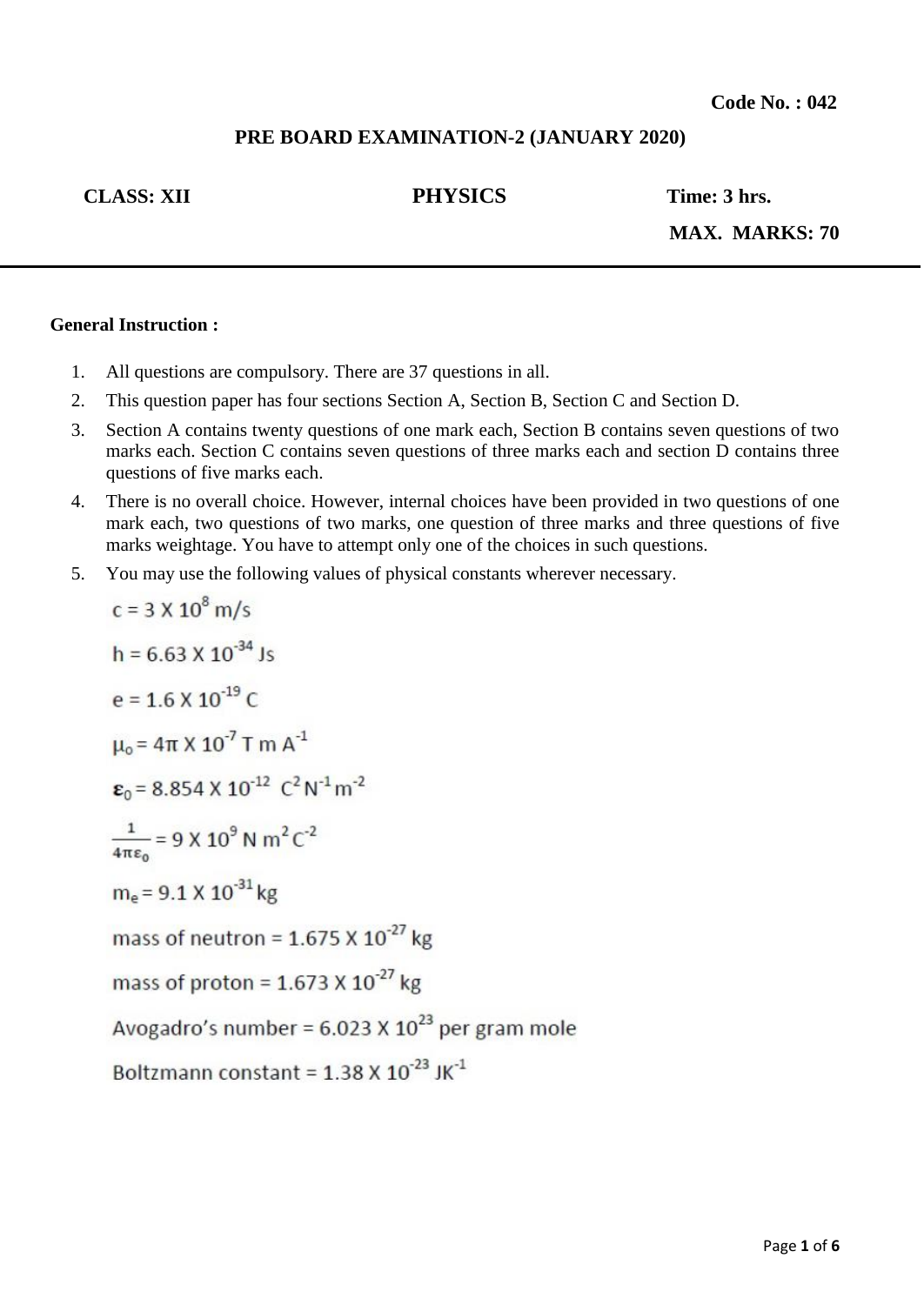## **PRE BOARD EXAMINATION-2 (JANUARY 2020)**

## **CLASS: XII PHYSICS Time: 3 hrs.**

**MAX. MARKS: 70**

## **General Instruction :**

 $\overline{\phantom{a}}$ 

- 1. All questions are compulsory. There are 37 questions in all.
- 2. This question paper has four sections Section A, Section B, Section C and Section D.
- 3. Section A contains twenty questions of one mark each, Section B contains seven questions of two marks each. Section C contains seven questions of three marks each and section D contains three questions of five marks each.
- 4. There is no overall choice. However, internal choices have been provided in two questions of one mark each, two questions of two marks, one question of three marks and three questions of five marks weightage. You have to attempt only one of the choices in such questions.
- 5. You may use the following values of physical constants wherever necessary.

c = 3 X 10<sup>o</sup> m/s  
\nh = 6.63 X 10<sup>-34</sup> Js  
\ne = 1.6 X 10<sup>-19</sup> C  
\n
$$
\mu_0
$$
 = 4 $\pi$  X 10<sup>-7</sup> T m A<sup>-1</sup>  
\n $\varepsilon_0$  = 8.854 X 10<sup>-12</sup> C<sup>2</sup> N<sup>-1</sup> m<sup>-2</sup>  
\n $\frac{1}{4\pi\varepsilon_0}$  = 9 X 10<sup>9</sup> N m<sup>2</sup> C<sup>-2</sup>  
\nm<sub>e</sub> = 9.1 X 10<sup>-31</sup> kg  
\nmass of neutron = 1.675 X 10<sup>-27</sup> kg  
\nmass of proton = 1.673 X 10<sup>-27</sup> kg  
\nAvogadro's number = 6.023 X 10<sup>23</sup> per gram mole  
\nBoltzmann constant = 1.38 X 10<sup>-23</sup> JK<sup>-1</sup>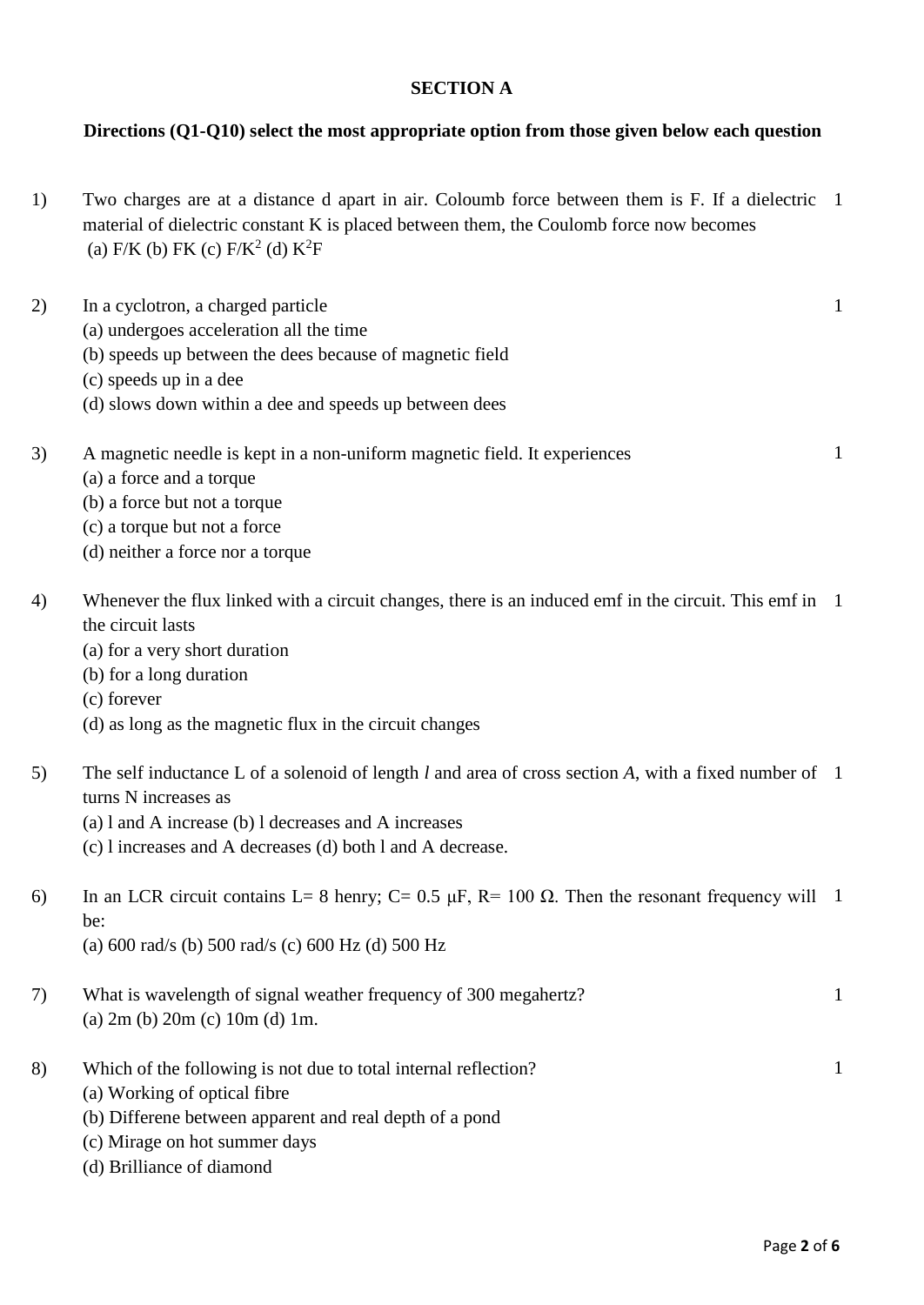## **SECTION A**

# **Directions (Q1-Q10) select the most appropriate option from those given below each question**

1) Two charges are at a distance d apart in air. Coloumb force between them is F. If a dielectric 1 material of dielectric constant K is placed between them, the Coulomb force now becomes (a) F/K (b) FK (c)  $F/K^2$  (d)  $K^2F$ 

| 2) | In a cyclotron, a charged particle                                                                                                 | $\mathbf{1}$ |
|----|------------------------------------------------------------------------------------------------------------------------------------|--------------|
|    | (a) undergoes acceleration all the time                                                                                            |              |
|    | (b) speeds up between the dees because of magnetic field                                                                           |              |
|    | (c) speeds up in a dee                                                                                                             |              |
|    | (d) slows down within a dee and speeds up between dees                                                                             |              |
| 3) | A magnetic needle is kept in a non-uniform magnetic field. It experiences                                                          | $\mathbf{1}$ |
|    | (a) a force and a torque                                                                                                           |              |
|    | (b) a force but not a torque                                                                                                       |              |
|    | (c) a torque but not a force                                                                                                       |              |
|    | (d) neither a force nor a torque                                                                                                   |              |
| 4) | Whenever the flux linked with a circuit changes, there is an induced emf in the circuit. This emf in 1<br>the circuit lasts        |              |
|    | (a) for a very short duration                                                                                                      |              |
|    | (b) for a long duration                                                                                                            |              |
|    | (c) forever                                                                                                                        |              |
|    | (d) as long as the magnetic flux in the circuit changes                                                                            |              |
| 5) | The self inductance L of a solenoid of length $l$ and area of cross section $A$ , with a fixed number of 1<br>turns N increases as |              |
|    | (a) 1 and A increase (b) 1 decreases and A increases                                                                               |              |
|    | (c) l increases and A decreases (d) both l and A decrease.                                                                         |              |
| 6) | In an LCR circuit contains L= 8 henry; C= 0.5 $\mu$ F, R= 100 $\Omega$ . Then the resonant frequency will 1                        |              |
|    | be:                                                                                                                                |              |
|    | (a) $600 \text{ rad/s}$ (b) $500 \text{ rad/s}$ (c) $600 \text{ Hz}$ (d) $500 \text{ Hz}$                                          |              |
| 7) | What is wavelength of signal weather frequency of 300 megahertz?                                                                   | $\mathbf{1}$ |
|    | (a) $2m$ (b) $20m$ (c) $10m$ (d) $1m$ .                                                                                            |              |
| 8) | Which of the following is not due to total internal reflection?                                                                    | $\mathbf{1}$ |
|    | (a) Working of optical fibre                                                                                                       |              |
|    | (b) Differene between apparent and real depth of a pond                                                                            |              |
|    | (c) Mirage on hot summer days                                                                                                      |              |

(d) Brilliance of diamond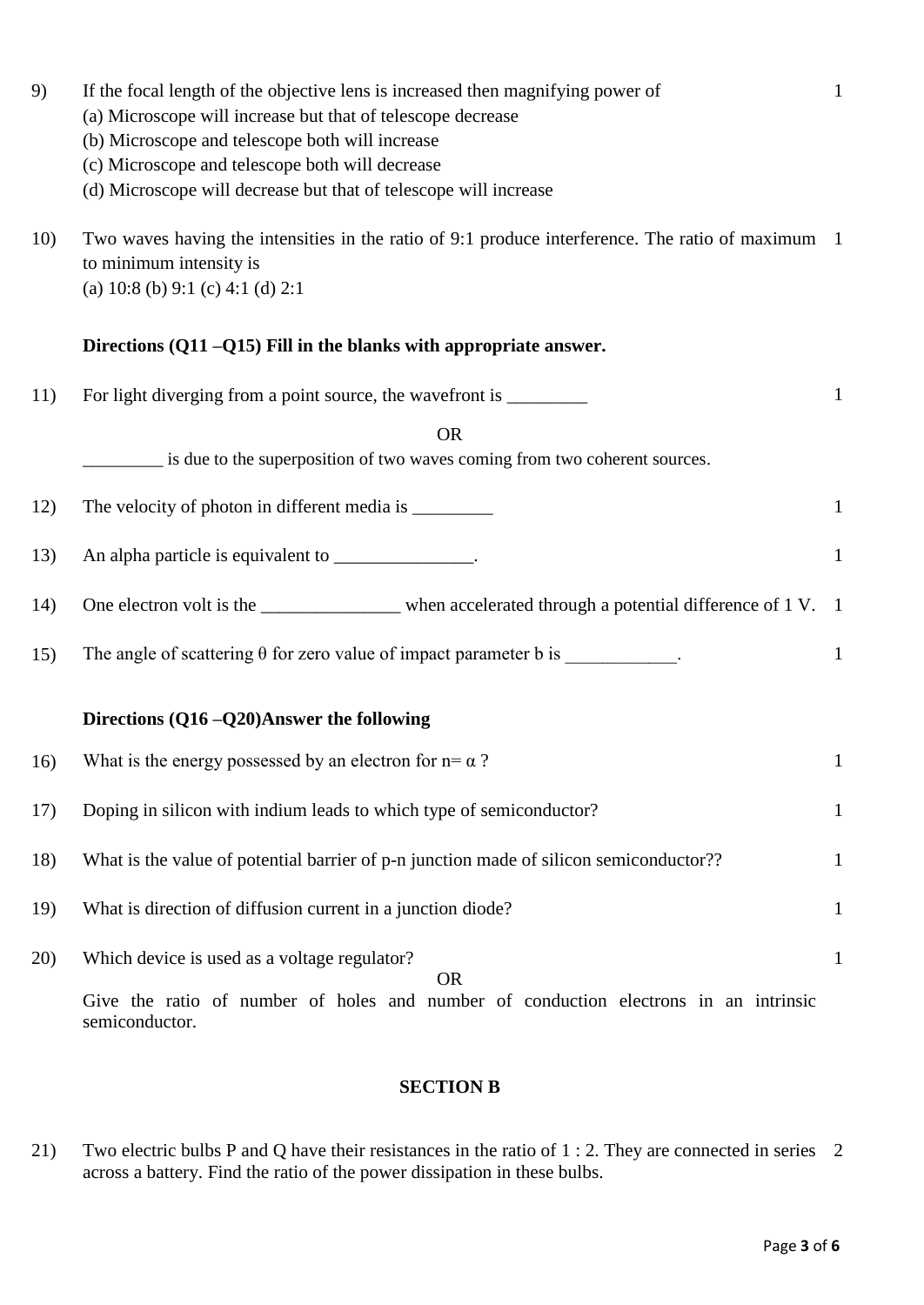| 9)  | If the focal length of the objective lens is increased then magnifying power of                                                                                          | $\mathbf{1}$ |
|-----|--------------------------------------------------------------------------------------------------------------------------------------------------------------------------|--------------|
|     | (a) Microscope will increase but that of telescope decrease                                                                                                              |              |
|     | (b) Microscope and telescope both will increase                                                                                                                          |              |
|     | (c) Microscope and telescope both will decrease                                                                                                                          |              |
|     | (d) Microscope will decrease but that of telescope will increase                                                                                                         |              |
| 10) | Two waves having the intensities in the ratio of 9:1 produce interference. The ratio of maximum 1<br>to minimum intensity is<br>(a) $10:8$ (b) $9:1$ (c) $4:1$ (d) $2:1$ |              |
|     | Directions $(Q11 - Q15)$ Fill in the blanks with appropriate answer.                                                                                                     |              |
| 11) | For light diverging from a point source, the wavefront is _______________________                                                                                        | $\mathbf{1}$ |
|     | <b>OR</b>                                                                                                                                                                |              |
|     | is due to the superposition of two waves coming from two coherent sources.                                                                                               |              |
|     |                                                                                                                                                                          |              |
| 12) |                                                                                                                                                                          | $\mathbf{1}$ |
| 13) | An alpha particle is equivalent to _______________.                                                                                                                      | $\mathbf{1}$ |
|     |                                                                                                                                                                          |              |
| 14) | One electron volt is the _______________ when accelerated through a potential difference of 1 V. 1                                                                       |              |
| 15) | The angle of scattering $\theta$ for zero value of impact parameter b is __________.                                                                                     | $\mathbf{1}$ |
|     |                                                                                                                                                                          |              |
|     | Directions (Q16 - Q20) Answer the following                                                                                                                              |              |
|     |                                                                                                                                                                          |              |
| 16) | What is the energy possessed by an electron for $n = \alpha$ ?                                                                                                           | $\mathbf{1}$ |
| 17) | Doping in silicon with indium leads to which type of semiconductor?                                                                                                      | $\mathbf{1}$ |
|     |                                                                                                                                                                          |              |
| 18) | What is the value of potential barrier of p-n junction made of silicon semiconductor??                                                                                   | 1            |
| 19) | What is direction of diffusion current in a junction diode?                                                                                                              | $\mathbf{1}$ |
|     |                                                                                                                                                                          |              |
| 20) | Which device is used as a voltage regulator?                                                                                                                             | $\mathbf{1}$ |
|     | <b>OR</b>                                                                                                                                                                |              |
|     | Give the ratio of number of holes and number of conduction electrons in an intrinsic<br>semiconductor.                                                                   |              |

# **SECTION B**

21) Two electric bulbs P and Q have their resistances in the ratio of 1 : 2. They are connected in series 2across a battery. Find the ratio of the power dissipation in these bulbs.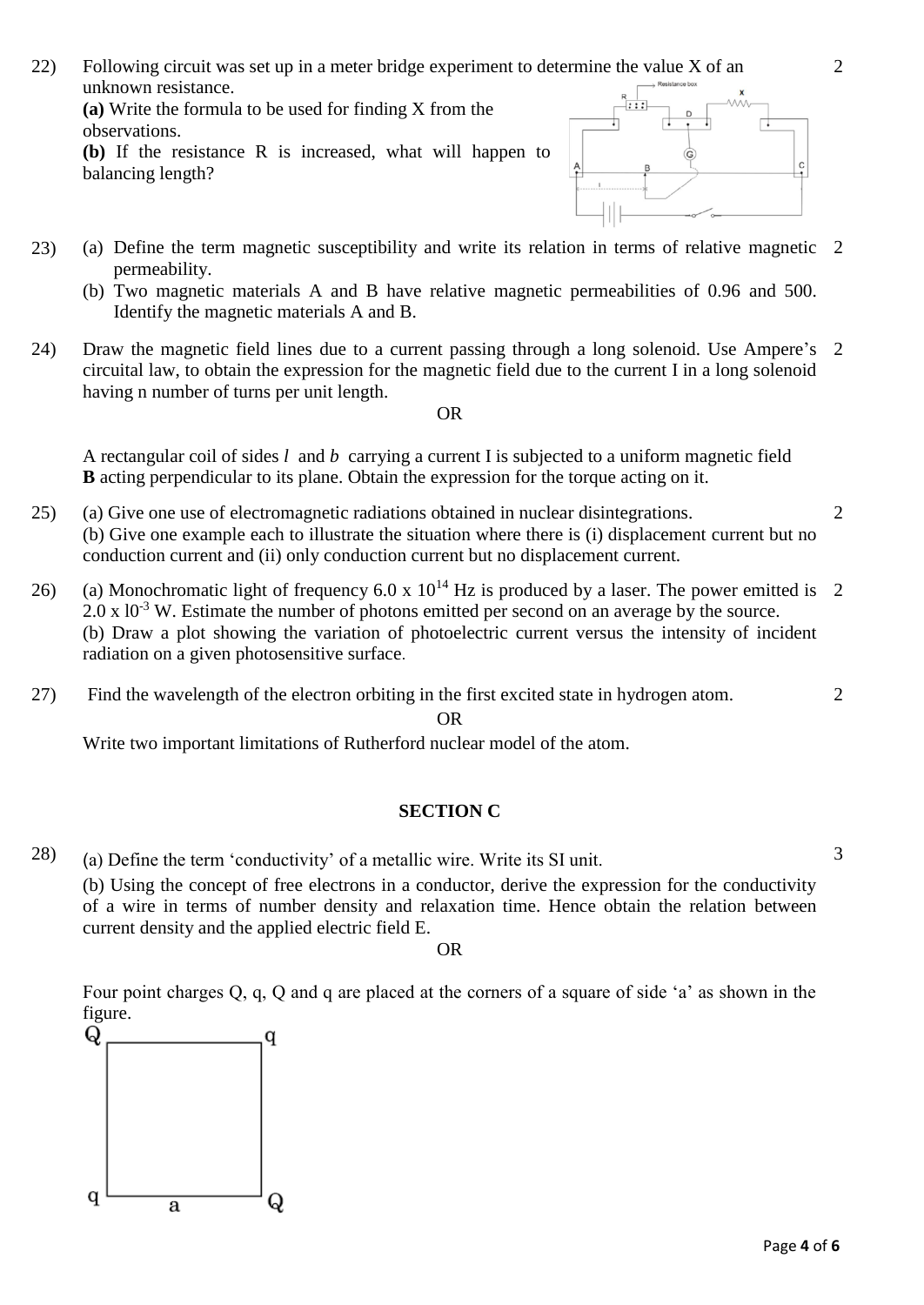22) Following circuit was set up in a meter bridge experiment to determine the value X of an unknown resistance.

**(a)** Write the formula to be used for finding X from the observations.

**(b)** If the resistance R is increased, what will happen to balancing length?



- 23) (a) Define the term magnetic susceptibility and write its relation in terms of relative magnetic 2 permeability.
	- (b) Two magnetic materials A and B have relative magnetic permeabilities of 0.96 and 500. Identify the magnetic materials A and B.
- 24) Draw the magnetic field lines due to a current passing through a long solenoid. Use Ampere's 2 circuital law, to obtain the expression for the magnetic field due to the current I in a long solenoid having n number of turns per unit length.

### OR

A rectangular coil of sides *l* and *b* carrying a current I is subjected to a uniform magnetic field **B** acting perpendicular to its plane. Obtain the expression for the torque acting on it.

- 25) (a) Give one use of electromagnetic radiations obtained in nuclear disintegrations. (b) Give one example each to illustrate the situation where there is (i) displacement current but no conduction current and (ii) only conduction current but no displacement current.
- 26) (a) Monochromatic light of frequency 6.0 x  $10^{14}$  Hz is produced by a laser. The power emitted is 2  $2.0 \times 10^{-3}$  W. Estimate the number of photons emitted per second on an average by the source. (b) Draw a plot showing the variation of photoelectric current versus the intensity of incident radiation on a given photosensitive surface.
- 27) Find the wavelength of the electron orbiting in the first excited state in hydrogen atom.

OR

Write two important limitations of Rutherford nuclear model of the atom.

## **SECTION C**

28) (a) Define the term 'conductivity' of a metallic wire. Write its SI unit.

(b) Using the concept of free electrons in a conductor, derive the expression for the conductivity of a wire in terms of number density and relaxation time. Hence obtain the relation between current density and the applied electric field E.

OR

Four point charges Q, q, Q and q are placed at the corners of a square of side 'a' as shown in the figure.



2

2

3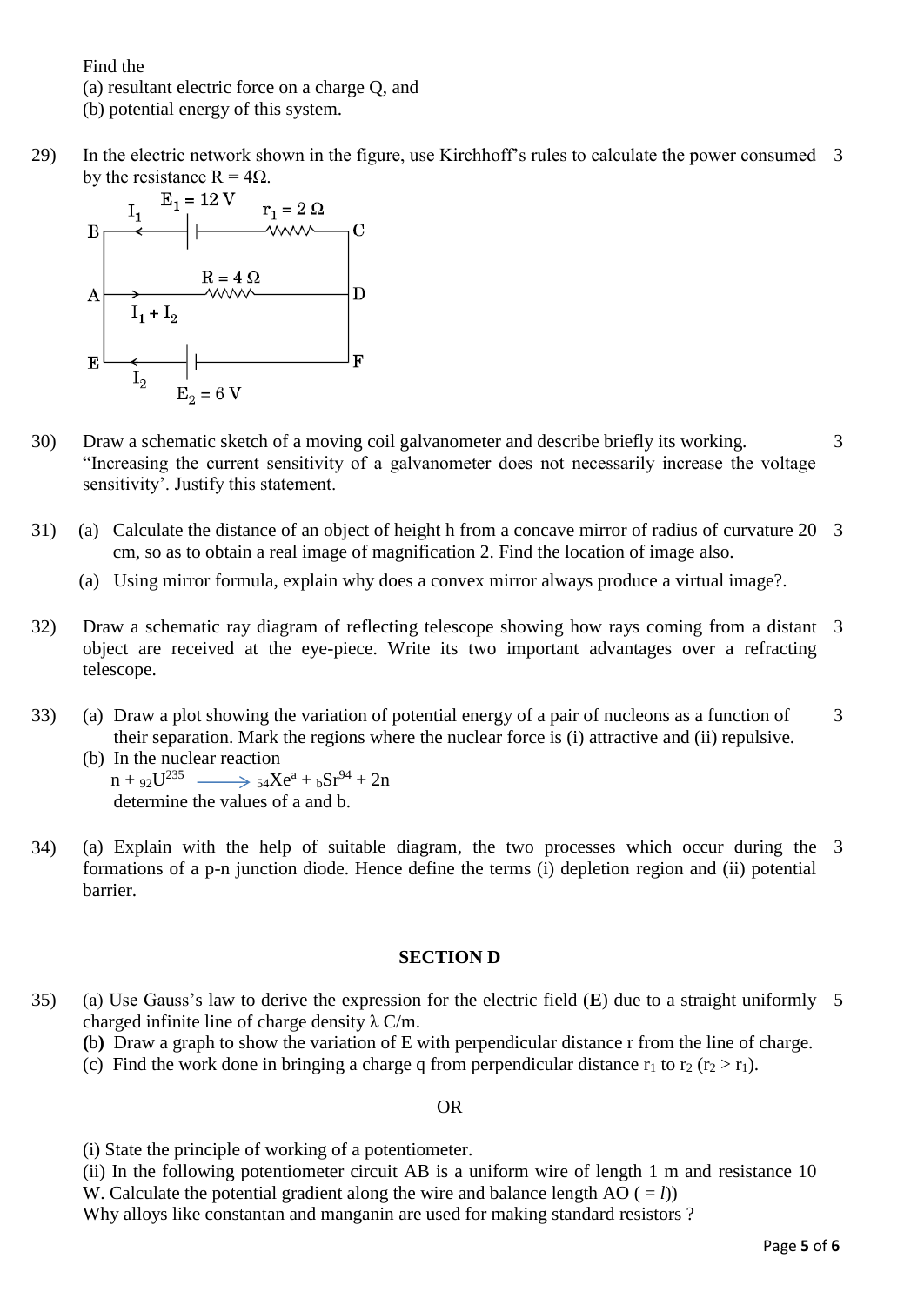Find the

(a) resultant electric force on a charge Q, and

(b) potential energy of this system.

29) In the electric network shown in the figure, use Kirchhoff's rules to calculate the power consumed 3



- 30) Draw a schematic sketch of a moving coil galvanometer and describe briefly its working. "Increasing the current sensitivity of a galvanometer does not necessarily increase the voltage sensitivity'. Justify this statement. 3
- 31) (a) Calculate the distance of an object of height h from a concave mirror of radius of curvature 20 3 cm, so as to obtain a real image of magnification 2. Find the location of image also.
	- (a) Using mirror formula, explain why does a convex mirror always produce a virtual image?.
- 32) Draw a schematic ray diagram of reflecting telescope showing how rays coming from a distant 3 object are received at the eye-piece. Write its two important advantages over a refracting telescope.
- 33) (a) Draw a plot showing the variation of potential energy of a pair of nucleons as a function of their separation. Mark the regions where the nuclear force is (i) attractive and (ii) repulsive. 3

(b) In the nuclear reaction  $n + 92U^{235} \longrightarrow 54Xe^{a} + bSr^{94} + 2n$ determine the values of a and b.

34) (a) Explain with the help of suitable diagram, the two processes which occur during the 3 formations of a p-n junction diode. Hence define the terms (i) depletion region and (ii) potential barrier.

### **SECTION D**

- 35) (a) Use Gauss's law to derive the expression for the electric field (**E**) due to a straight uniformly 5charged infinite line of charge density  $\lambda$  C/m.
	- **(**b**)** Draw a graph to show the variation of E with perpendicular distance r from the line of charge.
	- (c) Find the work done in bringing a charge q from perpendicular distance  $r_1$  to  $r_2$  ( $r_2 > r_1$ ).

#### OR

- (i) State the principle of working of a potentiometer.
- (ii) In the following potentiometer circuit AB is a uniform wire of length 1 m and resistance 10 W. Calculate the potential gradient along the wire and balance length  $AO (= l)$ )

Why alloys like constantan and manganin are used for making standard resistors ?